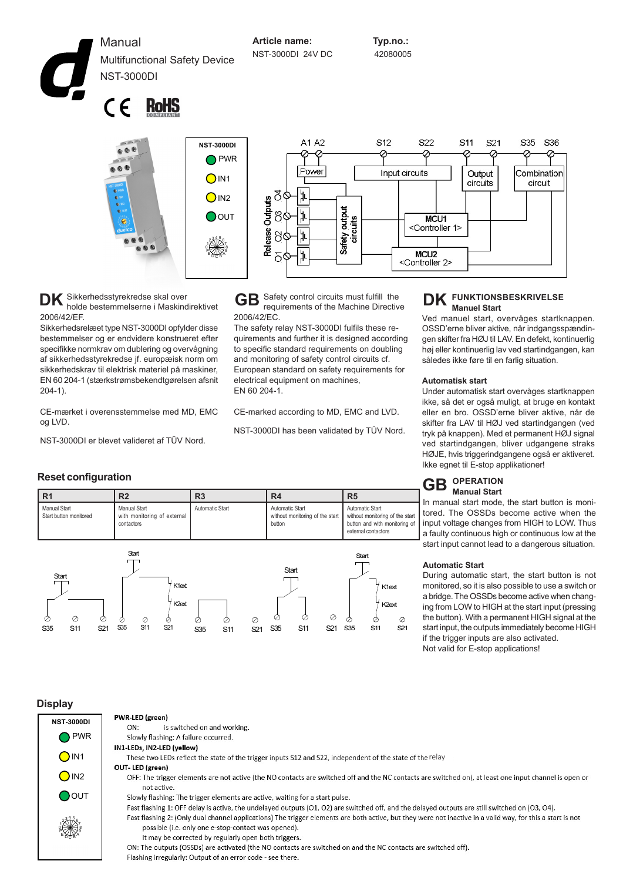Manual Multifunctional Safety Device NST-3000DI

**Article name: Typ.no.:** NST-3000DI 24V DC 42080005

 $\epsilon$ **RoHS** 



Input circuits Output Combination circuits circuit MCU1 <Controller 1> **MCLI2** <Controller 2>

S22

 $S<sub>11</sub>$ 

S<sub>21</sub>

**DK** Sikkerhedsstyrekredse skal over<br>holde bestemmelserne i Maskindir holde bestemmelserne i Maskindirektivet 2006/42/EF.

Sikkerhedsrelæet type NST-3000DI opfylder disse bestemmelser og er endvidere konstrueret efter specifikke normkrav om dublering og overvågning af sikkerhedsstyrekredse jf. europæisk norm om sikkerhedskrav til elektrisk materiel på maskiner, EN 60 204-1 (stærkstrømsbekendtgørelsen afsnit 204-1).

CE-mærket i overensstemmelse med MD, EMC og LVD.

S35 S11

Ò

 $\oslash$ 

K2ext

S35 S11 S21 S35 S11 S21

Ò.

NST-3000DI er blevet valideret af TÜV Nord.

**GB** Safety control circuits must fulfill the requirements of the Machine Directive 2006/42/EC.

The safety relay NST-3000DI fulfils these requirements and further it is designed according to specific standard requirements on doubling and monitoring of safety control circuits cf. European standard on safety requirements for electrical equipment on machines, EN 60 204-1.

CE-marked according to MD, EMC and LVD.

NST-3000DI has been validated by TÜV Nord.

## **GB DK FUNKTIONSBESKRIVELSE Manuel Start**

Ved manuel start, overvåges startknappen. OSSD'erne bliver aktive, når indgangsspændingen skifter fra HØJ til LAV. En defekt, kontinuerlig høj eller kontinuerlig lav ved startindgangen, kan således ikke føre til en farlig situation.

S35

S36

#### **Automatisk start**

Under automatisk start overvåges startknappen ikke, så det er også muligt, at bruge en kontakt eller en bro. OSSD'erne bliver aktive, når de skifter fra LAV til HØJ ved startindgangen (ved tryk på knappen). Med et permanent HØJ signal ved startindgangen, bliver udgangene straks HØJE, hvis triggerindgangene også er aktiveret. Ikke egnet til E-stop applikationer!

#### **CR** OPERATION **Manual Start GB**

In manual start mode, the start button is monitored. The OSSDs become active when the input voltage changes from HIGH to LOW. Thus a faulty continuous high or continuous low at the start input cannot lead to a dangerous situation.

#### **Automatic Start**

During automatic start, the start button is not monitored, so it is also possible to use a switch or a bridge.The OSSDs become active when changing from LOW to HIGH at the start input (pressing the button). With a permanent HIGH signal at the start input, the outputs immediately become HIGH if the trigger inputs are also activated. Not valid for E-stop applications!

#### **Reset configuration**

| R <sub>1</sub>                         | R <sub>2</sub>                                                   | R <sub>3</sub>  | R <sub>4</sub>                                               | R <sub>5</sub>                                                                                             |
|----------------------------------------|------------------------------------------------------------------|-----------------|--------------------------------------------------------------|------------------------------------------------------------------------------------------------------------|
| Manual Start<br>Start button monitored | <b>Manual Start</b><br>with monitoring of external<br>contactors | Automatic Start | Automatic Start<br>without monitoring of the start<br>button | Automatic Start<br>without monitoring of the start<br>button and with monitoring of<br>external contactors |
| $\sim$<br>Start                        | Start<br>K1 <sub>ext</sub>                                       |                 | Start                                                        | Start<br>K1ext                                                                                             |

S35 S11 S21

Ò

**Display**

Ò

 $\circ$ 

Ò

| <i>isplay</i>     |                                                                                                                                                            |
|-------------------|------------------------------------------------------------------------------------------------------------------------------------------------------------|
| <b>NST-3000DI</b> | PWR-LED (green)                                                                                                                                            |
|                   | is switched on and working.<br>ON:                                                                                                                         |
| <b>PWR</b>        | Slowly flashing: A failure occurred.                                                                                                                       |
|                   | IN1-LEDs, IN2-LED (yellow)                                                                                                                                 |
| $\bigcirc$ IN1    | These two LEDs reflect the state of the trigger inputs \$12 and \$22, independent of the state of the relay                                                |
|                   | OUT-LED (green)                                                                                                                                            |
| $\bigcirc$ IN2    | OFF: The trigger elements are not active (the NO contacts are switched off and the NC contacts are switched on), at least one input channel is open or     |
|                   | not active.                                                                                                                                                |
| $\bigcirc$ out    | Slowly flashing: The trigger elements are active, waiting for a start pulse.                                                                               |
|                   | Fast flashing 1: OFF delay is active, the undelayed outputs (O1, O2) are switched off, and the delayed outputs are still switched on (O3, O4).             |
|                   | Fast flashing 2: (Only dual channel applications) The trigger elements are both active, but they were not inactive in a valid way, for this a start is not |
|                   | possible (i.e. only one e-stop-contact was opened).                                                                                                        |
|                   | It may be corrected by regularly open both triggers.                                                                                                       |
|                   | ON: The outputs (OSSDs) are activated (the NO contacts are switched on and the NC contacts are switched off).                                              |
|                   | Flashing irregularly: Output of an error code - see there.                                                                                                 |

Ò

⊘

 $\oslash$ 

 $\oslash$ 

S35 S11 S21

 $K2e$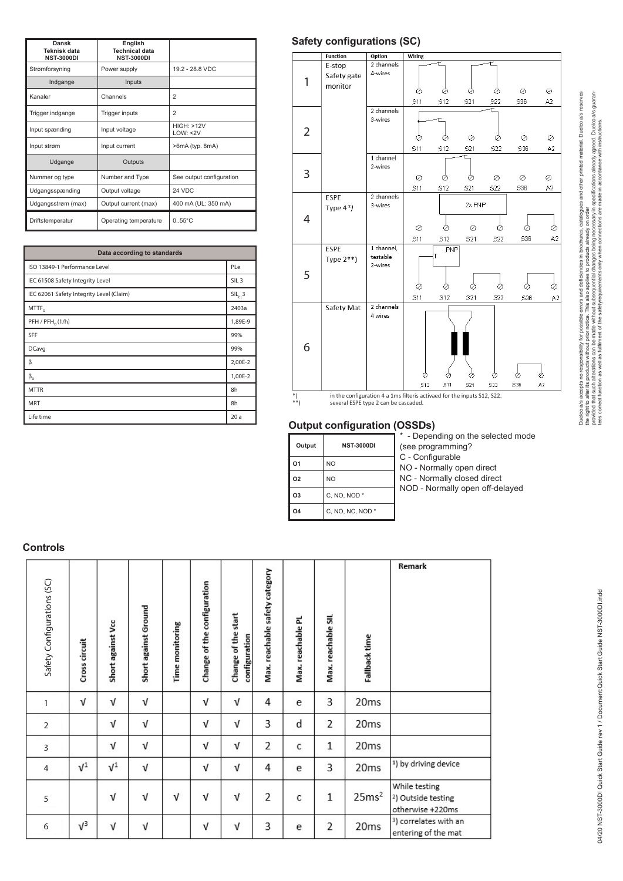| Dansk<br>Teknisk data<br><b>NST-3000DI</b> | English<br><b>Technical data</b><br><b>NST-3000DI</b> |                          |
|--------------------------------------------|-------------------------------------------------------|--------------------------|
| Strømforsyning                             | Power supply                                          | 19.2 - 28.8 VDC          |
| Indgange                                   | Inputs                                                |                          |
| Kanaler                                    | Channels                                              | $\overline{2}$           |
| Trigger indgange                           | Trigger inputs                                        | $\overline{2}$           |
| Input spænding                             | Input voltage                                         | HIGH: >12V<br>LOW: < 2V  |
| Input strøm                                | Input current                                         | >6mA (typ. 8mA)          |
| Udgange                                    | Outputs                                               |                          |
| Nummer og type                             | Number and Type                                       | See output configuration |
| Udgangsspænding                            | Output voltage                                        | 24 VDC                   |
| Udgangsstrøm (max)                         | Output current (max)                                  | 400 mA (UL: 350 mA)      |
| Driftstemperatur                           | Operating temperature                                 | $0.55^{\circ}$ C         |

| Data according to standards              |                  |
|------------------------------------------|------------------|
| ISO 13849-1 Performance Level            | PLe              |
| IEC 61508 Safety Integrity Level         | SIL <sub>3</sub> |
| IEC 62061 Safety Integrity Level (Claim) | $SIL_{c1}3$      |
| $M$ TTF <sub>D</sub>                     | 2403a            |
| PFH / PFH <sub>n</sub> (1/h)             | 1,89E-9          |
| SFF                                      | 99%              |
| <b>DCavg</b>                             | 99%              |
| β                                        | 2,00E-2          |
| $\beta_{\rm D}$                          | 1,00E-2          |
| <b>MTTR</b>                              | 8h               |
| <b>MRT</b>                               | 8h               |
| Life time                                | 20a              |

# **Safety configurations (SC)**



## **Output configuration (OSSDs)**

| Output | <b>NST-3000DI</b> | - Depending on the selected mode<br>(see programming? |
|--------|-------------------|-------------------------------------------------------|
| l 01   | N <sub>O</sub>    | C - Configurable<br>NO - Normally open direct         |
| l 02   | N <sub>O</sub>    | NC - Normally closed direct                           |
| l O3   | C, NO, NOD *      | NOD - Normally open off-delayed                       |
| l 04   | C, NO, NC, NOD *  |                                                       |
|        |                   |                                                       |

#### **Controls**

| Safety Configurations (SC) | Cross circuit | Short against Vcc | Short against Ground | <b>Time monitoring</b> | Change of the configuration | Change of the start<br>configuration | Max. reachable safety category | Max. reachable PL | Max. reachable SIL | Fallback time     | Remark                                                              |
|----------------------------|---------------|-------------------|----------------------|------------------------|-----------------------------|--------------------------------------|--------------------------------|-------------------|--------------------|-------------------|---------------------------------------------------------------------|
| 1                          | ν             | $\sqrt{ }$        | v                    |                        | V                           | V                                    | 4                              | e                 | 3                  | 20ms              |                                                                     |
| $\overline{2}$             |               | ν                 | ν                    |                        | V                           | V                                    | 3                              | d                 | 2                  | 20 <sub>ms</sub>  |                                                                     |
| 3                          |               | ν                 | ν                    |                        | V                           | ν                                    | 2                              | C                 | $\mathbf{1}$       | 20ms              |                                                                     |
| $\overline{4}$             | $\sqrt{1}$    | $V^1$             | ν                    |                        | V                           | V                                    | 4                              | e                 | 3                  | 20 <sub>ms</sub>  | <sup>1</sup> ) by driving device                                    |
| 5                          |               | ν                 | ν                    | v                      | $\sqrt{ }$                  | ν                                    | 2                              | C                 | $1\,$              | 25ms <sup>2</sup> | While testing<br><sup>2</sup> ) Outside testing<br>otherwise +220ms |
| 6                          | $V^3$         | ν                 | ν                    |                        | V                           | ν                                    | 3                              | e                 | $\overline{2}$     | 20 <sub>ms</sub>  | <sup>3</sup> ) correlates with an<br>entering of the mat            |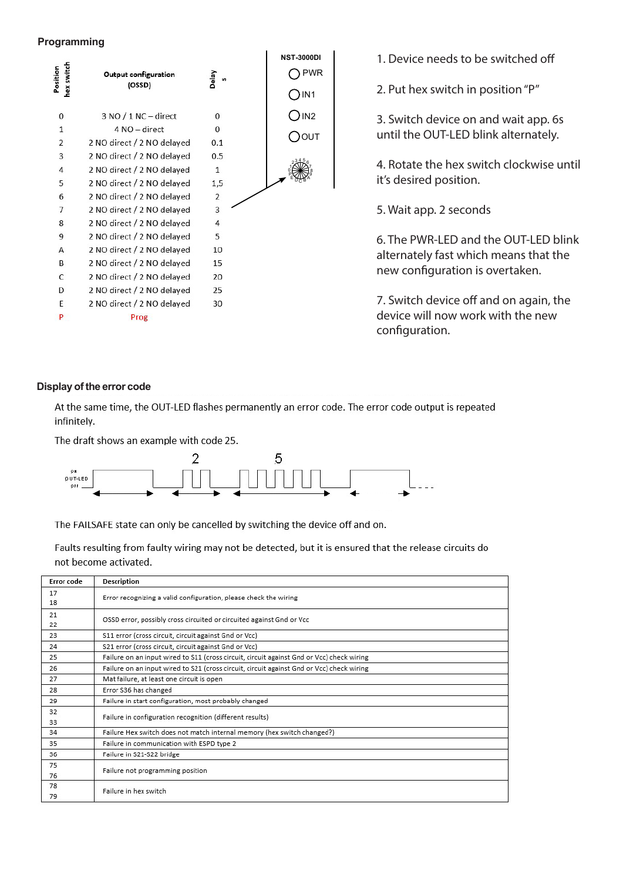# **Programming**



1. Device needs to be switched off

2. Put hex switch in position "P"

3. Switch device on and wait app. 6s until the OUT-LED blink alternately.

4. Rotate the hex switch clockwise until it's desired position.

5. Wait app. 2 seconds

6. The PWR-LED and the OUT-LED blink alternately fast which means that the new configuration is overtaken.

7. Switch device off and on again, the device will now work with the new configuration.

### **Display of the error code**

At the same time, the OUT-LED flashes permanently an error code. The error code output is repeated infinitely.

The draft shows an example with code 25.



The FAILSAFE state can only be cancelled by switching the device off and on.

Faults resulting from faulty wiring may not be detected, but it is ensured that the release circuits do not become activated.

| Error code | <b>Description</b>                                                                        |  |  |  |  |
|------------|-------------------------------------------------------------------------------------------|--|--|--|--|
| 17         | Error recognizing a valid configuration, please check the wiring                          |  |  |  |  |
| 18         |                                                                                           |  |  |  |  |
| 21         | OSSD error, possibly cross circuited or circuited against Gnd or Vcc                      |  |  |  |  |
| 22         |                                                                                           |  |  |  |  |
| 23         | S11 error (cross circuit, circuit against Gnd or Vcc)                                     |  |  |  |  |
| 24         | S21 error (cross circuit, circuit against Gnd or Vcc)                                     |  |  |  |  |
| 25         | Failure on an input wired to S11 (cross circuit, circuit against Gnd or Vcc) check wiring |  |  |  |  |
| 26         | Failure on an input wired to S21 (cross circuit, circuit against Gnd or Vcc) check wiring |  |  |  |  |
| 27         | Mat failure, at least one circuit is open                                                 |  |  |  |  |
| 28         | Error S36 has changed                                                                     |  |  |  |  |
| 29         | Failure in start configuration, most probably changed                                     |  |  |  |  |
| 32         | Failure in configuration recognition (different results)                                  |  |  |  |  |
| 33         |                                                                                           |  |  |  |  |
| 34         | Failure Hex switch does not match internal memory (hex switch changed?)                   |  |  |  |  |
| 35         | Failure in communication with ESPD type 2                                                 |  |  |  |  |
| 36         | Failure in S21-S22 bridge                                                                 |  |  |  |  |
| 75         | Failure not programming position                                                          |  |  |  |  |
| 76         |                                                                                           |  |  |  |  |
| 78         | Failure in hex switch                                                                     |  |  |  |  |
| 79         |                                                                                           |  |  |  |  |